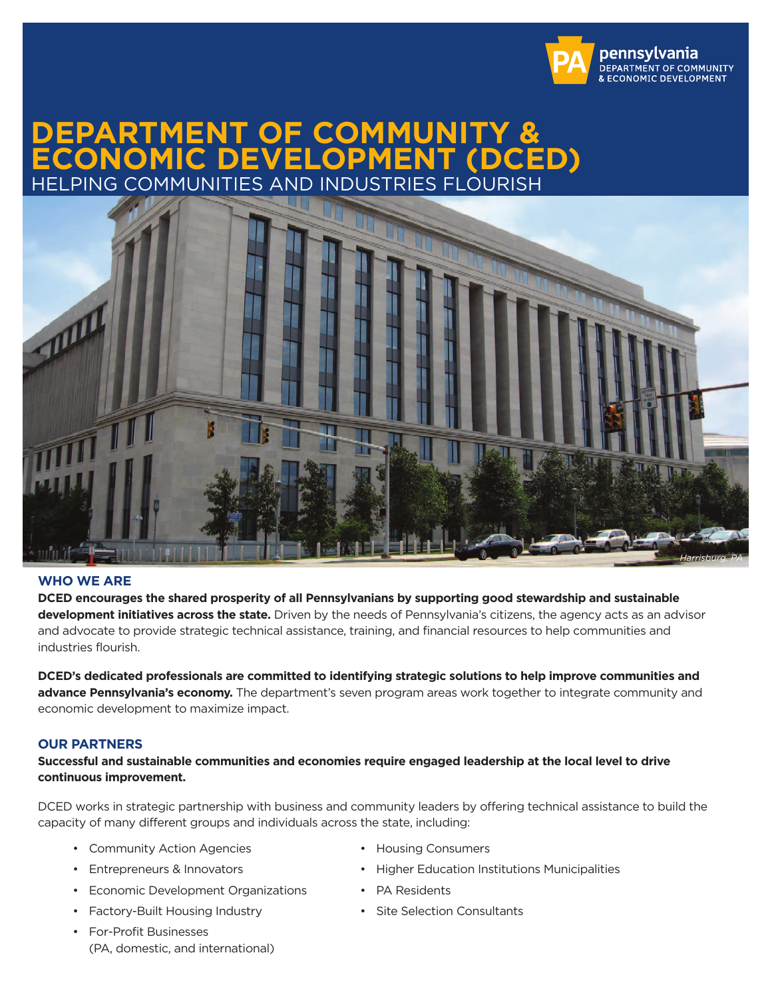

# **DEPARTMENT OF COMMUNITY & ECONOMIC DEVELOPMENT (DCED)** HELPING COMMUNITIES AND INDUSTRIES FLOURISH



## **WHO WE ARE**

**DCED encourages the shared prosperity of all Pennsylvanians by supporting good stewardship and sustainable development initiatives across the state.** Driven by the needs of Pennsylvania's citizens, the agency acts as an advisor and advocate to provide strategic technical assistance, training, and financial resources to help communities and industries flourish.

**DCED's dedicated professionals are committed to identifying strategic solutions to help improve communities and advance Pennsylvania's economy.** The department's seven program areas work together to integrate community and economic development to maximize impact.

#### **OUR PARTNERS**

**Successful and sustainable communities and economies require engaged leadership at the local level to drive continuous improvement.** 

DCED works in strategic partnership with business and community leaders by offering technical assistance to build the capacity of many different groups and individuals across the state, including:

- Community Action Agencies Housing Consumers
	-
- Entrepreneurs & Innovators  **Higher Education Institutions Municipalities**
- Economic Development Organizations PA Residents
- Factory-Built Housing Industry **•** Site Selection Consultants
- For-Profit Businesses (PA, domestic, and international)
- 
-